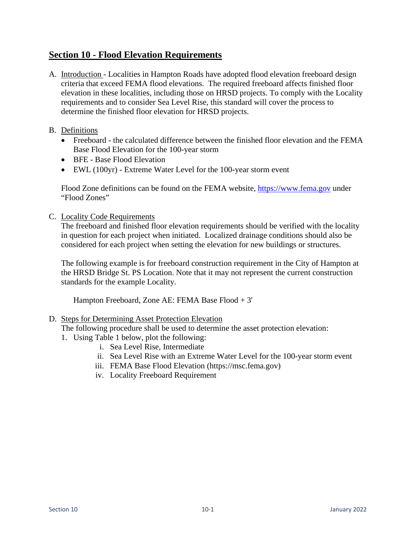## **Section 10 - Flood Elevation Requirements**

- A. Introduction Localities in Hampton Roads have adopted flood elevation freeboard design criteria that exceed FEMA flood elevations. The required freeboard affects finished floor elevation in these localities, including those on HRSD projects. To comply with the Locality requirements and to consider Sea Level Rise, this standard will cover the process to determine the finished floor elevation for HRSD projects.
- B. Definitions
	- Freeboard the calculated difference between the finished floor elevation and the FEMA Base Flood Elevation for the 100-year storm
	- BFE Base Flood Elevation
	- EWL (100yr) Extreme Water Level for the 100-year storm event

Flood Zone definitions can be found on the FEMA website, [https://www.fema.gov](https://www.fema.gov/) under "Flood Zones"

C. Locality Code Requirements

The freeboard and finished floor elevation requirements should be verified with the locality in question for each project when initiated. Localized drainage conditions should also be considered for each project when setting the elevation for new buildings or structures.

The following example is for freeboard construction requirement in the City of Hampton at the HRSD Bridge St. PS Location. Note that it may not represent the current construction standards for the example Locality.

Hampton Freeboard, Zone AE: FEMA Base Flood + 3'

## D. Steps for Determining Asset Protection Elevation

The following procedure shall be used to determine the asset protection elevation:

- 1. Using Table 1 below, plot the following:
	- i. Sea Level Rise, Intermediate
	- ii. Sea Level Rise with an Extreme Water Level for the 100-year storm event
	- iii. FEMA Base Flood Elevation (https://msc.fema.gov)
	- iv. Locality Freeboard Requirement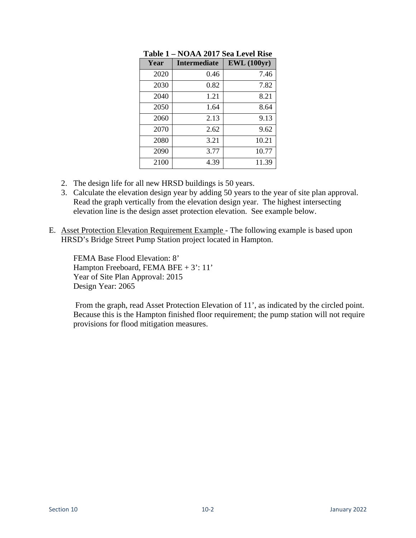| Year | <b>Intermediate</b> | <b>EWL</b> (100yr) |
|------|---------------------|--------------------|
| 2020 | 0.46                | 7.46               |
| 2030 | 0.82                | 7.82               |
| 2040 | 1.21                | 8.21               |
| 2050 | 1.64                | 8.64               |
| 2060 | 2.13                | 9.13               |
| 2070 | 2.62                | 9.62               |
| 2080 | 3.21                | 10.21              |
| 2090 | 3.77                | 10.77              |
| 2100 | 4.39                | 11.39              |

**Table 1 – NOAA 2017 Sea Level Rise** 

- 2. The design life for all new HRSD buildings is 50 years.
- 3. Calculate the elevation design year by adding 50 years to the year of site plan approval. Read the graph vertically from the elevation design year. The highest intersecting elevation line is the design asset protection elevation. See example below.
- E. Asset Protection Elevation Requirement Example The following example is based upon HRSD's Bridge Street Pump Station project located in Hampton.

FEMA Base Flood Elevation: 8' Hampton Freeboard, FEMA BFE + 3': 11' Year of Site Plan Approval: 2015 Design Year: 2065

 From the graph, read Asset Protection Elevation of 11', as indicated by the circled point. Because this is the Hampton finished floor requirement; the pump station will not require provisions for flood mitigation measures.